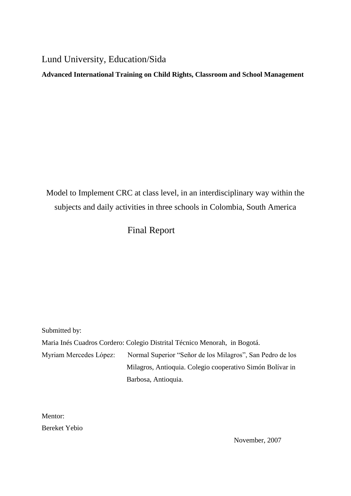Lund University, Education/Sida

**Advanced International Training on Child Rights, Classroom and School Management**

Model to Implement CRC at class level, in an interdisciplinary way within the subjects and daily activities in three schools in Colombia, South America

# Final Report

Submitted by: Maria Inés Cuadros Cordero: Colegio Distrital Técnico Menorah, in Bogotá. Myriam Mercedes López: Normal Superior "Señor de los Milagros", San Pedro de los Milagros, Antioquia. Colegio cooperativo Simón Bolívar in Barbosa, Antioquia.

Mentor: Bereket Yebio

November, 2007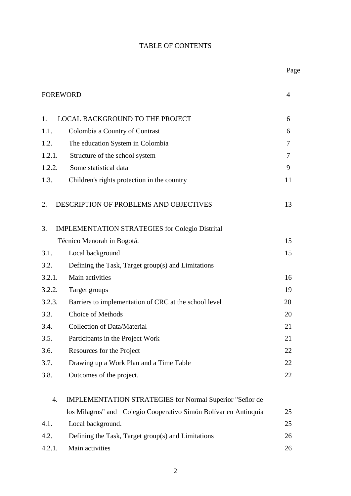# TABLE OF CONTENTS

| <b>FOREWORD</b> |                                                                  | 4  |
|-----------------|------------------------------------------------------------------|----|
| 1.              | <b>LOCAL BACKGROUND TO THE PROJECT</b>                           | 6  |
| 1.1.            | Colombia a Country of Contrast                                   | 6  |
| 1.2.            | The education System in Colombia                                 | 7  |
| 1.2.1.          | Structure of the school system                                   | 7  |
| 1.2.2.          | Some statistical data                                            | 9  |
| 1.3.            | Children's rights protection in the country                      | 11 |
| 2.              | DESCRIPTION OF PROBLEMS AND OBJECTIVES                           | 13 |
| 3.              | <b>IMPLEMENTATION STRATEGIES for Colegio Distrital</b>           |    |
|                 | Técnico Menorah in Bogotá.                                       | 15 |
| 3.1.            | Local background                                                 | 15 |
| 3.2.            | Defining the Task, Target group(s) and Limitations               |    |
| 3.2.1.          | Main activities                                                  | 16 |
| 3.2.2.          | Target groups                                                    | 19 |
| 3.2.3.          | Barriers to implementation of CRC at the school level            | 20 |
| 3.3.            | <b>Choice of Methods</b>                                         | 20 |
| 3.4.            | <b>Collection of Data/Material</b>                               | 21 |
| 3.5.            | Participants in the Project Work                                 | 21 |
| 3.6.            | Resources for the Project                                        | 22 |
| 3.7.            | Drawing up a Work Plan and a Time Table                          | 22 |
| 3.8.            | Outcomes of the project.                                         | 22 |
| 4.              | <b>IMPLEMENTATION STRATEGIES for Normal Superior "Señor de</b>   |    |
|                 | los Milagros" and Colegio Cooperativo Simón Bolívar en Antioquia | 25 |
| 4.1.            | Local background.                                                | 25 |
| 4.2.            | Defining the Task, Target group(s) and Limitations               | 26 |
| 4.2.1.          | Main activities                                                  | 26 |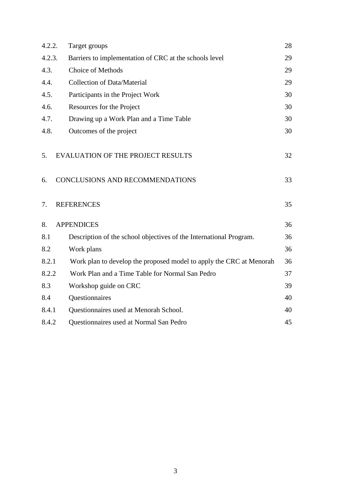| 29 |
|----|
|    |
| 29 |
| 29 |
| 30 |
| 30 |
| 30 |
| 30 |
|    |
| 32 |
|    |
| 33 |
|    |
| 35 |
|    |
| 36 |
| 36 |
| 36 |
| 36 |
| 37 |
| 39 |
| 40 |
| 40 |
| 45 |
|    |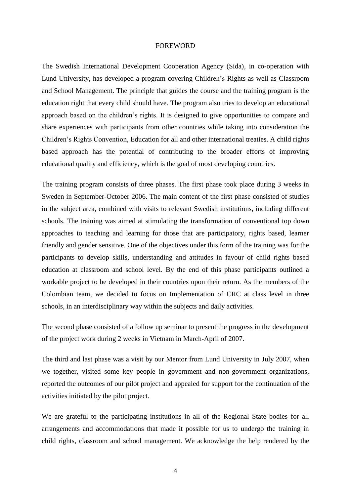#### FOREWORD

The Swedish International Development Cooperation Agency (Sida), in co-operation with Lund University, has developed a program covering Children's Rights as well as Classroom and School Management. The principle that guides the course and the training program is the education right that every child should have. The program also tries to develop an educational approach based on the children's rights. It is designed to give opportunities to compare and share experiences with participants from other countries while taking into consideration the Children's Rights Convention, Education for all and other international treaties. A child rights based approach has the potential of contributing to the broader efforts of improving educational quality and efficiency, which is the goal of most developing countries.

The training program consists of three phases. The first phase took place during 3 weeks in Sweden in September-October 2006. The main content of the first phase consisted of studies in the subject area, combined with visits to relevant Swedish institutions, including different schools. The training was aimed at stimulating the transformation of conventional top down approaches to teaching and learning for those that are participatory, rights based, learner friendly and gender sensitive. One of the objectives under this form of the training was for the participants to develop skills, understanding and attitudes in favour of child rights based education at classroom and school level. By the end of this phase participants outlined a workable project to be developed in their countries upon their return. As the members of the Colombian team, we decided to focus on Implementation of CRC at class level in three schools, in an interdisciplinary way within the subjects and daily activities.

The second phase consisted of a follow up seminar to present the progress in the development of the project work during 2 weeks in Vietnam in March-April of 2007.

The third and last phase was a visit by our Mentor from Lund University in July 2007, when we together, visited some key people in government and non-government organizations, reported the outcomes of our pilot project and appealed for support for the continuation of the activities initiated by the pilot project.

We are grateful to the participating institutions in all of the Regional State bodies for all arrangements and accommodations that made it possible for us to undergo the training in child rights, classroom and school management. We acknowledge the help rendered by the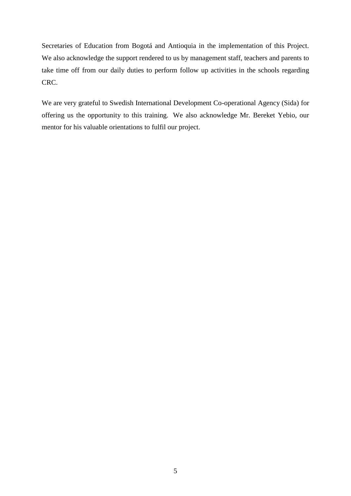Secretaries of Education from Bogotá and Antioquia in the implementation of this Project. We also acknowledge the support rendered to us by management staff, teachers and parents to take time off from our daily duties to perform follow up activities in the schools regarding CRC.

We are very grateful to Swedish International Development Co-operational Agency (Sida) for offering us the opportunity to this training. We also acknowledge Mr. Bereket Yebio, our mentor for his valuable orientations to fulfil our project.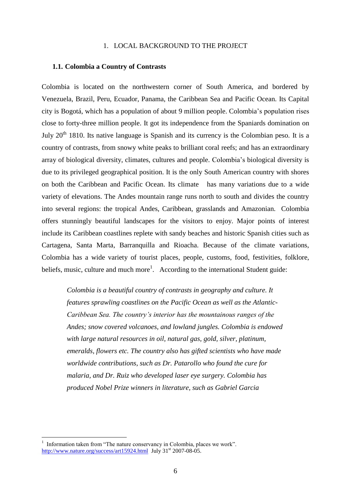### 1. LOCAL BACKGROUND TO THE PROJECT

#### **1.1. Colombia a Country of Contrasts**

Colombia is located on the northwestern corner of South America, and bordered by Venezuela, Brazil, Peru, Ecuador, Panama, the Caribbean Sea and Pacific Ocean. Its Capital city is Bogotá, which has a population of about 9 million people. Colombia's population rises close to forty-three million people. It got its independence from the Spaniards domination on July  $20<sup>th</sup>$  1810. Its native language is Spanish and its currency is the Colombian peso. It is a country of contrasts, from snowy white peaks to brilliant coral reefs; and has an extraordinary array of biological diversity, climates, cultures and people. Colombia's biological diversity is due to its privileged geographical position. It is the only South American country with shores on both the Caribbean and Pacific Ocean. Its climate has many variations due to a wide variety of elevations. The Andes mountain range runs north to south and divides the country into several regions: the tropical Andes, Caribbean, grasslands and Amazonian. Colombia offers stunningly beautiful landscapes for the visitors to enjoy. Major points of interest include its Caribbean coastlines replete with sandy beaches and historic Spanish cities such as Cartagena, Santa Marta, Barranquilla and Rioacha. Because of the climate variations, Colombia has a wide variety of tourist places, people, customs, food, festivities, folklore, beliefs, music, culture and much more<sup>1</sup>. According to the international Student guide:

*Colombia is a beautiful country of contrasts in geography and culture. It features sprawling coastlines on the Pacific Ocean as well as the Atlantic-Caribbean Sea. The country's interior has the mountainous ranges of the Andes; snow covered volcanoes, and lowland jungles. Colombia is endowed with large natural resources in oil, natural gas, gold, silver, platinum, emeralds, flowers etc. The country also has gifted scientists who have made worldwide contributions, such as Dr. Patarollo who found the cure for malaria, and Dr. Ruiz who developed laser eye surgery. Colombia has produced Nobel Prize winners in literature, such as Gabriel Garcia* 

<u>.</u>

<sup>1</sup> Information taken from "The nature conservancy in Colombia, places we work". <http://www.nature.org/success/art15924.html>July  $31^{st}$  2007-08-05.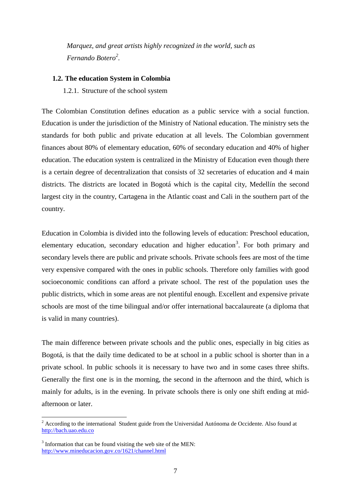*Marquez, and great artists highly recognized in the world, such as Fernando Botero<sup>2</sup> .* 

#### **1.2. The education System in Colombia**

1.2.1. Structure of the school system

The Colombian Constitution defines education as a public service with a social function. Education is under the jurisdiction of the Ministry of National education. The ministry sets the standards for both public and private education at all levels. The Colombian government finances about 80% of elementary education, 60% of secondary education and 40% of higher education. The education system is centralized in the Ministry of Education even though there is a certain degree of decentralization that consists of 32 secretaries of education and 4 main districts. The districts are located in Bogotá which is the capital city, Medellín the second largest city in the country, Cartagena in the Atlantic coast and Cali in the southern part of the country.

Education in Colombia is divided into the following levels of education: Preschool education, elementary education, secondary education and higher education<sup>3</sup>. For both primary and secondary levels there are public and private schools. Private schools fees are most of the time very expensive compared with the ones in public schools. Therefore only families with good socioeconomic conditions can afford a private school. The rest of the population uses the public districts, which in some areas are not plentiful enough. Excellent and expensive private schools are most of the time bilingual and/or offer international baccalaureate (a diploma that is valid in many countries).

The main difference between private schools and the public ones, especially in big cities as Bogotá, is that the daily time dedicated to be at school in a public school is shorter than in a private school. In public schools it is necessary to have two and in some cases three shifts. Generally the first one is in the morning, the second in the afternoon and the third, which is mainly for adults, is in the evening. In private schools there is only one shift ending at midafternoon or later.

<u>.</u>

<sup>&</sup>lt;sup>2</sup> According to the international Student guide from the Universidad Autónoma de Occidente. Also found at [http://bach.uao.edu.co](http://bach.uao.edu.co/)

<sup>&</sup>lt;sup>3</sup> Information that can be found visiting the web site of the MEN: <http://www.mineducacion.gov.co/1621/channel.html>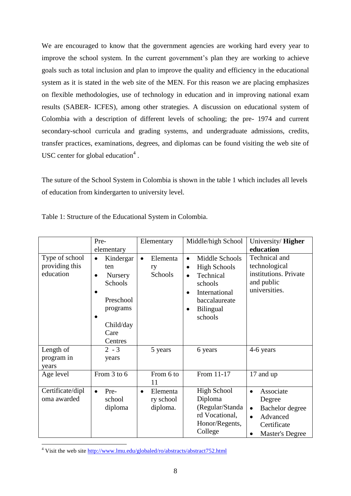We are encouraged to know that the government agencies are working hard every year to improve the school system. In the current government's plan they are working to achieve goals such as total inclusion and plan to improve the quality and efficiency in the educational system as it is stated in the web site of the MEN. For this reason we are placing emphasizes on flexible methodologies, use of technology in education and in improving national exam results (SABER- ICFES), among other strategies. A discussion on educational system of Colombia with a description of different levels of schooling; the pre- 1974 and current secondary-school curricula and grading systems, and undergraduate admissions, credits, transfer practices, examinations, degrees, and diplomas can be found visiting the web site of USC center for global education $4$ .

The suture of the School System in Colombia is shown in the table 1 which includes all levels of education from kindergarten to university level.

|                                               | Pre-                                                                                                                      | Elementary                                     | Middle/high School                                                                                                                                                                 | University/Higher                                                                                                           |
|-----------------------------------------------|---------------------------------------------------------------------------------------------------------------------------|------------------------------------------------|------------------------------------------------------------------------------------------------------------------------------------------------------------------------------------|-----------------------------------------------------------------------------------------------------------------------------|
|                                               | elementary                                                                                                                |                                                |                                                                                                                                                                                    | education                                                                                                                   |
| Type of school<br>providing this<br>education | Kindergar<br>$\bullet$<br>ten<br>Nursery<br>$\bullet$<br>Schools<br>Preschool<br>programs<br>Child/day<br>Care<br>Centres | Elementa<br>$\bullet$<br>ry<br>Schools         | Middle Schools<br>$\bullet$<br><b>High Schools</b><br>$\bullet$<br>Technical<br>$\bullet$<br>schools<br>International<br>baccalaureate<br><b>Bilingual</b><br>$\bullet$<br>schools | Technical and<br>technological<br>institutions. Private<br>and public<br>universities.                                      |
| Length of<br>program in<br>years              | $2 - 3$<br>years                                                                                                          | 5 years                                        | 6 years                                                                                                                                                                            | 4-6 years                                                                                                                   |
| Age level                                     | From 3 to 6                                                                                                               | From 6 to<br>11                                | From 11-17                                                                                                                                                                         | 17 and up                                                                                                                   |
| Certificate/dipl<br>oma awarded               | Pre-<br>$\bullet$<br>school<br>diploma                                                                                    | Elementa<br>$\bullet$<br>ry school<br>diploma. | <b>High School</b><br>Diploma<br>(Regular/Standa<br>rd Vocational,<br>Honor/Regents,<br>College                                                                                    | Associate<br>$\bullet$<br>Degree<br>Bachelor degree<br>$\bullet$<br>Advanced<br>$\bullet$<br>Certificate<br>Master's Degree |

Table 1: Structure of the Educational System in Colombia.

 $4$  Visit the web site<http://www.lmu.edu/globaled/ro/abstracts/abstract752.html>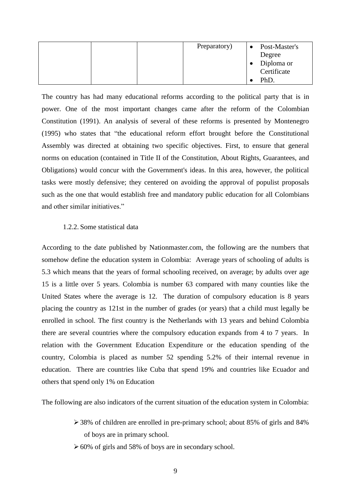| Preparatory) | $\bullet$ | Post-Master's |
|--------------|-----------|---------------|
|              |           | Degree        |
|              |           | Diploma or    |
|              |           | Certificate   |
|              |           | PhD.          |

The country has had many educational reforms according to the political party that is in power. One of the most important changes came after the reform of the Colombian Constitution (1991). An analysis of several of these reforms is presented by Montenegro (1995) who states that "the educational reform effort brought before the Constitutional Assembly was directed at obtaining two specific objectives. First, to ensure that general norms on education (contained in Title II of the Constitution, About Rights, Guarantees, and Obligations) would concur with the Government's ideas. In this area, however, the political tasks were mostly defensive; they centered on avoiding the approval of populist proposals such as the one that would establish free and mandatory public education for all Colombians and other similar initiatives."

#### 1.2.2. Some statistical data

According to the date published by Nationmaster.com, the following are the numbers that somehow define the education system in Colombia: Average years of schooling of adults is 5.3 which means that the years of formal schooling received, on average; by adults over age 15 is a little over 5 years. Colombia is number 63 compared with many counties like the United States where the average is 12. The duration of compulsory education is 8 years placing the country as 121st in the number of grades (or years) that a child must legally be enrolled in school. The first country is the Netherlands with 13 years and behind Colombia there are several countries where the compulsory education expands from 4 to 7 years. In relation with the Government Education Expenditure or the education spending of the country, Colombia is placed as number 52 spending 5.2% of their internal revenue in education. There are countries like Cuba that spend 19% and countries like Ecuador and others that spend only 1% on Education

The following are also indicators of the current situation of the education system in Colombia:

- 38% of children are enrolled in pre-primary school; about 85% of girls and 84% of boys are in primary school.
- $\geq 60\%$  of girls and 58% of boys are in secondary school.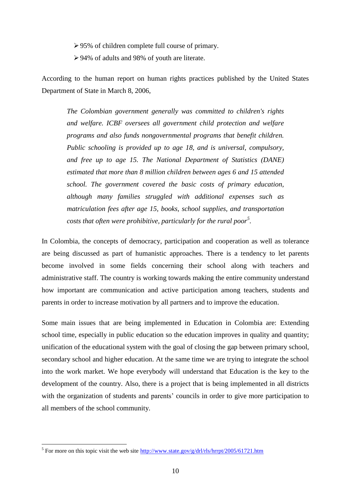95% of children complete full course of primary.

94% of adults and 98% of youth are literate.

According to the human report on human rights practices published by the United States Department of State in March 8, 2006,

*The Colombian government generally was committed to children's rights and welfare. ICBF oversees all government child protection and welfare programs and also funds nongovernmental programs that benefit children. Public schooling is provided up to age 18, and is universal, compulsory, and free up to age 15. The National Department of Statistics (DANE) estimated that more than 8 million children between ages 6 and 15 attended school. The government covered the basic costs of primary education, although many families struggled with additional expenses such as matriculation fees after age 15, books, school supplies, and transportation costs that often were prohibitive, particularly for the rural poor<sup>5</sup> .*

In Colombia, the concepts of democracy, participation and cooperation as well as tolerance are being discussed as part of humanistic approaches. There is a tendency to let parents become involved in some fields concerning their school along with teachers and administrative staff. The country is working towards making the entire community understand how important are communication and active participation among teachers, students and parents in order to increase motivation by all partners and to improve the education.

Some main issues that are being implemented in Education in Colombia are: Extending school time, especially in public education so the education improves in quality and quantity; unification of the educational system with the goal of closing the gap between primary school, secondary school and higher education. At the same time we are trying to integrate the school into the work market. We hope everybody will understand that Education is the key to the development of the country. Also, there is a project that is being implemented in all districts with the organization of students and parents' councils in order to give more participation to all members of the school community.

<sup>&</sup>lt;sup>5</sup> For more on this topic visit the web site  $\frac{http://www.state.gov/g/drl/rls/hrrpt/2005/61721.html}{$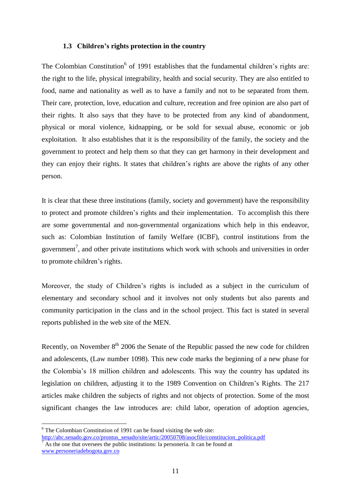#### **1.3 Children's rights protection in the country**

The Colombian Constitution<sup>6</sup> of 1991 establishes that the fundamental children's rights are: the right to the life, physical integrability, health and social security. They are also entitled to food, name and nationality as well as to have a family and not to be separated from them. Their care, protection, love, education and culture, recreation and free opinion are also part of their rights. It also says that they have to be protected from any kind of abandonment, physical or moral violence, kidnapping, or be sold for sexual abuse, economic or job exploitation. It also establishes that it is the responsibility of the family, the society and the government to protect and help them so that they can get harmony in their development and they can enjoy their rights. It states that children's rights are above the rights of any other person.

It is clear that these three institutions (family, society and government) have the responsibility to protect and promote children's rights and their implementation. To accomplish this there are some governmental and non-governmental organizations which help in this endeavor, such as: Colombian Institution of family Welfare (ICBF), control institutions from the government<sup>7</sup>, and other private institutions which work with schools and universities in order to promote children's rights.

Moreover, the study of Children's rights is included as a subject in the curriculum of elementary and secondary school and it involves not only students but also parents and community participation in the class and in the school project. This fact is stated in several reports published in the web site of the MEN.

Recently, on November  $8<sup>th</sup>$  2006 the Senate of the Republic passed the new code for children and adolescents, (Law number 1098). This new code marks the beginning of a new phase for the Colombia's 18 million children and adolescents. This way the country has updated its legislation on children, adjusting it to the 1989 Convention on Children's Rights. The 217 articles make children the subjects of rights and not objects of protection. Some of the most significant changes the law introduces are: child labor, operation of adoption agencies,

 $6$  The Colombian Constitution of 1991 can be found visiting the web site: [http://abc.senado.gov.co/prontus\\_senado/site/artic/20050708/asocfile/constitucion\\_politica.pdf](http://abc.senado.gov.co/prontus_senado/site/artic/20050708/asocfile/constitucion_politica.pdf)

As the one that oversees the public institutions: la personería. It can be found at [www.personeriadebogota.gov.co](http://www.personeriadebogota.gov.co/)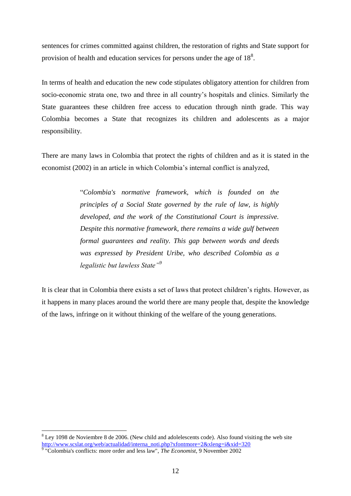sentences for crimes committed against children, the restoration of rights and State support for provision of health and education services for persons under the age of  $18<sup>8</sup>$ .

In terms of health and education the new code stipulates obligatory attention for children from socio-economic strata one, two and three in all country's hospitals and clinics. Similarly the State guarantees these children free access to education through ninth grade. This way Colombia becomes a State that recognizes its children and adolescents as a major responsibility.

There are many laws in Colombia that protect the rights of children and as it is stated in the economist (2002) in an article in which Colombia's internal conflict is analyzed,

> "*Colombia's normative framework, which is founded on the principles of a Social State governed by the rule of law, is highly developed, and the work of the Constitutional Court is impressive. Despite this normative framework, there remains a wide gulf between formal guarantees and reality. This gap between words and deeds was expressed by President Uribe, who described Colombia as a legalistic but lawless State"<sup>9</sup>*

It is clear that in Colombia there exists a set of laws that protect children's rights. However, as it happens in many places around the world there are many people that, despite the knowledge of the laws, infringe on it without thinking of the welfare of the young generations.

<sup>&</sup>lt;sup>8</sup> Ley 1098 de Noviembre 8 de 2006. (New child and adolelescents code). Also found visiting the web site [http://www.scslat.org/web/actualidad/interna\\_noti.php?xfontmore=2&xleng=i&xid=320](http://www.scslat.org/web/actualidad/interna_noti.php?xfontmore=2&xleng=i&xid=320)

<sup>9</sup> "Colombia's conflicts: more order and less law", *The Economist*, 9 November 2002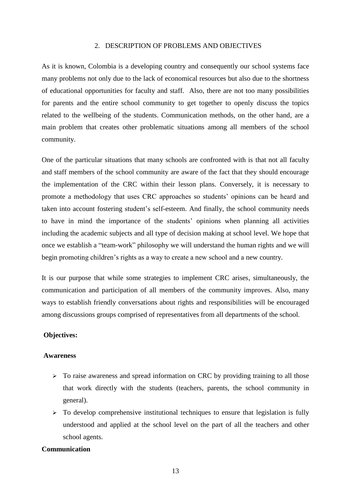### 2. DESCRIPTION OF PROBLEMS AND OBJECTIVES

As it is known, Colombia is a developing country and consequently our school systems face many problems not only due to the lack of economical resources but also due to the shortness of educational opportunities for faculty and staff. Also, there are not too many possibilities for parents and the entire school community to get together to openly discuss the topics related to the wellbeing of the students. Communication methods, on the other hand, are a main problem that creates other problematic situations among all members of the school community.

One of the particular situations that many schools are confronted with is that not all faculty and staff members of the school community are aware of the fact that they should encourage the implementation of the CRC within their lesson plans. Conversely, it is necessary to promote a methodology that uses CRC approaches so students' opinions can be heard and taken into account fostering student's self-esteem. And finally, the school community needs to have in mind the importance of the students' opinions when planning all activities including the academic subjects and all type of decision making at school level. We hope that once we establish a "team-work" philosophy we will understand the human rights and we will begin promoting children's rights as a way to create a new school and a new country.

It is our purpose that while some strategies to implement CRC arises, simultaneously, the communication and participation of all members of the community improves. Also, many ways to establish friendly conversations about rights and responsibilities will be encouraged among discussions groups comprised of representatives from all departments of the school.

#### **Objectives:**

#### **Awareness**

- $\triangleright$  To raise awareness and spread information on CRC by providing training to all those that work directly with the students (teachers, parents, the school community in general).
- $\triangleright$  To develop comprehensive institutional techniques to ensure that legislation is fully understood and applied at the school level on the part of all the teachers and other school agents.

### **Communication**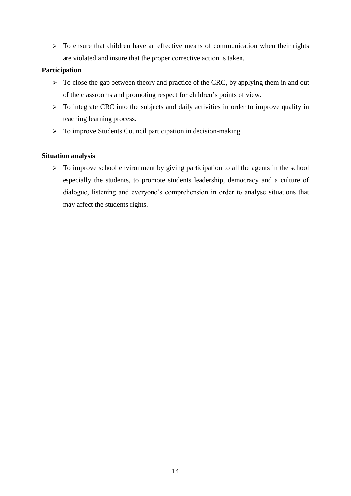$\geq$  To ensure that children have an effective means of communication when their rights are violated and insure that the proper corrective action is taken.

### **Participation**

- $\triangleright$  To close the gap between theory and practice of the CRC, by applying them in and out of the classrooms and promoting respect for children's points of view.
- $\triangleright$  To integrate CRC into the subjects and daily activities in order to improve quality in teaching learning process.
- > To improve Students Council participation in decision-making.

### **Situation analysis**

 $\triangleright$  To improve school environment by giving participation to all the agents in the school especially the students, to promote students leadership, democracy and a culture of dialogue, listening and everyone's comprehension in order to analyse situations that may affect the students rights.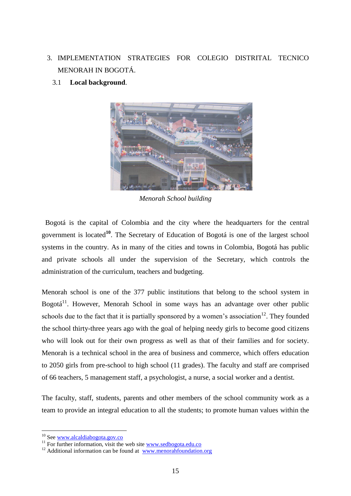# 3. IMPLEMENTATION STRATEGIES FOR COLEGIO DISTRITAL TECNICO MENORAH IN BOGOTÁ.



# 3.1 **Local background**.

*Menorah School building*

 Bogotá is the capital of Colombia and the city where the headquarters for the central government is located**<sup>10</sup>**. The Secretary of Education of Bogotá is one of the largest school systems in the country. As in many of the cities and towns in Colombia, Bogotá has public and private schools all under the supervision of the Secretary, which controls the administration of the curriculum, teachers and budgeting.

Menorah school is one of the 377 public institutions that belong to the school system in Bogotá $^{11}$ . However, Menorah School in some ways has an advantage over other public schools due to the fact that it is partially sponsored by a women's association<sup>12</sup>. They founded the school thirty-three years ago with the goal of helping needy girls to become good citizens who will look out for their own progress as well as that of their families and for society. Menorah is a technical school in the area of business and commerce, which offers education to 2050 girls from pre-school to high school (11 grades). The faculty and staff are comprised of 66 teachers, 5 management staff, a psychologist, a nurse, a social worker and a dentist.

The faculty, staff, students, parents and other members of the school community work as a team to provide an integral education to all the students; to promote human values within the

<sup>&</sup>lt;sup>10</sup> See [www.alcaldiabogota.gov.co](http://www.alcaldiabogota.gov.co/)

<sup>&</sup>lt;sup>11</sup> For further information, visit the web site [www.sedbogota.edu.co](http://www.sedbogota.edu.co/)

 $12$  Additional information can be found at [www.menorahfoundation.org](http://www.menorahfoundation.org/)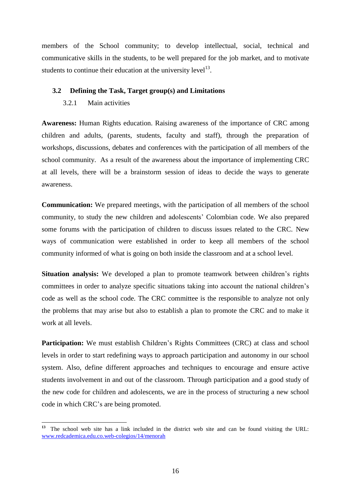members of the School community; to develop intellectual, social, technical and communicative skills in the students, to be well prepared for the job market, and to motivate students to continue their education at the university level<sup>13</sup>.

### **3.2 Defining the Task, Target group(s) and Limitations**

### 3.2.1 Main activities

**Awareness:** Human Rights education. Raising awareness of the importance of CRC among children and adults, (parents, students, faculty and staff), through the preparation of workshops, discussions, debates and conferences with the participation of all members of the school community. As a result of the awareness about the importance of implementing CRC at all levels, there will be a brainstorm session of ideas to decide the ways to generate awareness.

**Communication:** We prepared meetings, with the participation of all members of the school community, to study the new children and adolescents' Colombian code. We also prepared some forums with the participation of children to discuss issues related to the CRC. New ways of communication were established in order to keep all members of the school community informed of what is going on both inside the classroom and at a school level.

**Situation analysis:** We developed a plan to promote teamwork between children's rights committees in order to analyze specific situations taking into account the national children's code as well as the school code. The CRC committee is the responsible to analyze not only the problems that may arise but also to establish a plan to promote the CRC and to make it work at all levels.

Participation: We must establish Children's Rights Committees (CRC) at class and school levels in order to start redefining ways to approach participation and autonomy in our school system. Also, define different approaches and techniques to encourage and ensure active students involvement in and out of the classroom. Through participation and a good study of the new code for children and adolescents, we are in the process of structuring a new school code in which CRC's are being promoted.

 $13<sup>13</sup>$ **<sup>13</sup>** The school web site has a link included in the district web site and can be found visiting the URL: [www.redcademica.edu.co.web-colegios/14/menorah](http://www.redcademica.edu.co.web-colegios/14/menorah)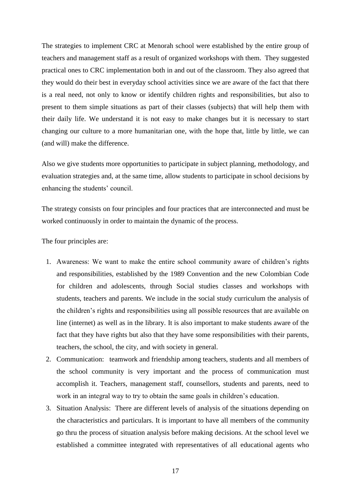The strategies to implement CRC at Menorah school were established by the entire group of teachers and management staff as a result of organized workshops with them. They suggested practical ones to CRC implementation both in and out of the classroom. They also agreed that they would do their best in everyday school activities since we are aware of the fact that there is a real need, not only to know or identify children rights and responsibilities, but also to present to them simple situations as part of their classes (subjects) that will help them with their daily life. We understand it is not easy to make changes but it is necessary to start changing our culture to a more humanitarian one, with the hope that, little by little, we can (and will) make the difference.

Also we give students more opportunities to participate in subject planning, methodology, and evaluation strategies and, at the same time, allow students to participate in school decisions by enhancing the students' council.

The strategy consists on four principles and four practices that are interconnected and must be worked continuously in order to maintain the dynamic of the process.

The four principles are:

- 1. Awareness: We want to make the entire school community aware of children's rights and responsibilities, established by the 1989 Convention and the new Colombian Code for children and adolescents, through Social studies classes and workshops with students, teachers and parents. We include in the social study curriculum the analysis of the children's rights and responsibilities using all possible resources that are available on line (internet) as well as in the library. It is also important to make students aware of the fact that they have rights but also that they have some responsibilities with their parents, teachers, the school, the city, and with society in general.
- 2. Communication: teamwork and friendship among teachers, students and all members of the school community is very important and the process of communication must accomplish it. Teachers, management staff, counsellors, students and parents, need to work in an integral way to try to obtain the same goals in children's education.
- 3. Situation Analysis: There are different levels of analysis of the situations depending on the characteristics and particulars. It is important to have all members of the community go thru the process of situation analysis before making decisions. At the school level we established a committee integrated with representatives of all educational agents who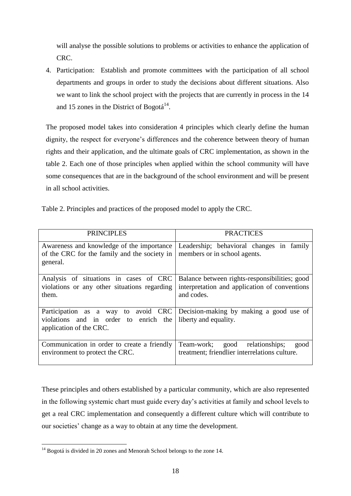will analyse the possible solutions to problems or activities to enhance the application of CRC.

4. Participation: Establish and promote committees with the participation of all school departments and groups in order to study the decisions about different situations. Also we want to link the school project with the projects that are currently in process in the 14 and 15 zones in the District of Bogotá $^{14}$ .

The proposed model takes into consideration 4 principles which clearly define the human dignity, the respect for everyone's differences and the coherence between theory of human rights and their application, and the ultimate goals of CRC implementation, as shown in the table 2. Each one of those principles when applied within the school community will have some consequences that are in the background of the school environment and will be present in all school activities.

|  | Table 2. Principles and practices of the proposed model to apply the CRC. |  |
|--|---------------------------------------------------------------------------|--|
|  |                                                                           |  |

| <b>PRINCIPLES</b>                                                                                       | <b>PRACTICES</b>                                                                                             |  |  |  |
|---------------------------------------------------------------------------------------------------------|--------------------------------------------------------------------------------------------------------------|--|--|--|
| Awareness and knowledge of the importance<br>of the CRC for the family and the society in<br>general.   | Leadership; behavioral changes in family<br>members or in school agents.                                     |  |  |  |
| Analysis of situations in cases of CRC<br>violations or any other situations regarding<br>them.         | Balance between rights-responsibilities; good<br>interpretation and application of conventions<br>and codes. |  |  |  |
| Participation as a way to avoid CRC<br>violations and in order to enrich the<br>application of the CRC. | Decision-making by making a good use of<br>liberty and equality.                                             |  |  |  |
| Communication in order to create a friendly<br>environment to protect the CRC.                          | good relationships;<br>Team-work;<br>good<br>treatment; friendlier interrelations culture.                   |  |  |  |

These principles and others established by a particular community, which are also represented in the following systemic chart must guide every day's activities at family and school levels to get a real CRC implementation and consequently a different culture which will contribute to our societies' change as a way to obtain at any time the development.

<sup>1</sup>  $14$  Bogotá is divided in 20 zones and Menorah School belongs to the zone 14.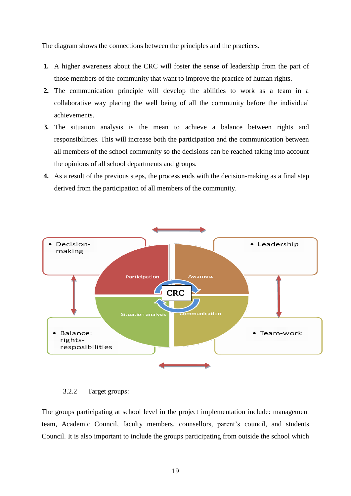The diagram shows the connections between the principles and the practices.

- **1.** A higher awareness about the CRC will foster the sense of leadership from the part of those members of the community that want to improve the practice of human rights.
- **2.** The communication principle will develop the abilities to work as a team in a collaborative way placing the well being of all the community before the individual achievements.
- **3.** The situation analysis is the mean to achieve a balance between rights and responsibilities. This will increase both the participation and the communication between all members of the school community so the decisions can be reached taking into account the opinions of all school departments and groups.
- **4.** As a result of the previous steps, the process ends with the decision-making as a final step derived from the participation of all members of the community.



3.2.2 Target groups:

The groups participating at school level in the project implementation include: management team, Academic Council, faculty members, counsellors, parent's council, and students Council. It is also important to include the groups participating from outside the school which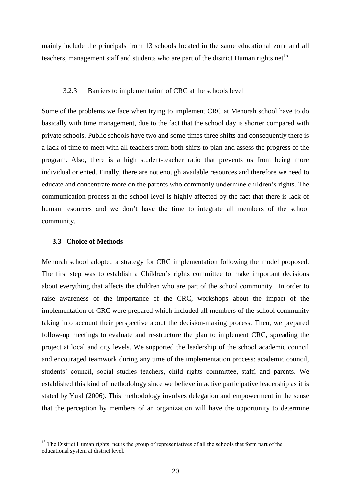mainly include the principals from 13 schools located in the same educational zone and all teachers, management staff and students who are part of the district Human rights net<sup>15</sup>.

#### 3.2.3 Barriers to implementation of CRC at the schools level

Some of the problems we face when trying to implement CRC at Menorah school have to do basically with time management, due to the fact that the school day is shorter compared with private schools. Public schools have two and some times three shifts and consequently there is a lack of time to meet with all teachers from both shifts to plan and assess the progress of the program. Also, there is a high student-teacher ratio that prevents us from being more individual oriented. Finally, there are not enough available resources and therefore we need to educate and concentrate more on the parents who commonly undermine children's rights. The communication process at the school level is highly affected by the fact that there is lack of human resources and we don't have the time to integrate all members of the school community.

### **3.3 Choice of Methods**

<u>.</u>

Menorah school adopted a strategy for CRC implementation following the model proposed. The first step was to establish a Children's rights committee to make important decisions about everything that affects the children who are part of the school community. In order to raise awareness of the importance of the CRC, workshops about the impact of the implementation of CRC were prepared which included all members of the school community taking into account their perspective about the decision-making process. Then, we prepared follow-up meetings to evaluate and re-structure the plan to implement CRC, spreading the project at local and city levels. We supported the leadership of the school academic council and encouraged teamwork during any time of the implementation process: academic council, students' council, social studies teachers, child rights committee, staff, and parents. We established this kind of methodology since we believe in active participative leadership as it is stated by Yukl (2006). This methodology involves delegation and empowerment in the sense that the perception by members of an organization will have the opportunity to determine

<sup>&</sup>lt;sup>15</sup> The District Human rights' net is the group of representatives of all the schools that form part of the educational system at district level.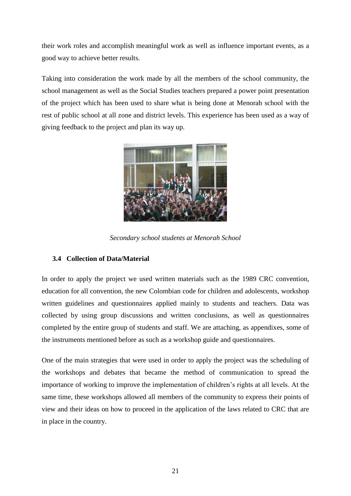their work roles and accomplish meaningful work as well as influence important events, as a good way to achieve better results.

Taking into consideration the work made by all the members of the school community, the school management as well as the Social Studies teachers prepared a power point presentation of the project which has been used to share what is being done at Menorah school with the rest of public school at all zone and district levels. This experience has been used as a way of giving feedback to the project and plan its way up.



*Secondary school students at Menorah School*

## **3.4 Collection of Data/Material**

In order to apply the project we used written materials such as the 1989 CRC convention, education for all convention, the new Colombian code for children and adolescents, workshop written guidelines and questionnaires applied mainly to students and teachers. Data was collected by using group discussions and written conclusions, as well as questionnaires completed by the entire group of students and staff. We are attaching, as appendixes, some of the instruments mentioned before as such as a workshop guide and questionnaires.

One of the main strategies that were used in order to apply the project was the scheduling of the workshops and debates that became the method of communication to spread the importance of working to improve the implementation of children's rights at all levels. At the same time, these workshops allowed all members of the community to express their points of view and their ideas on how to proceed in the application of the laws related to CRC that are in place in the country.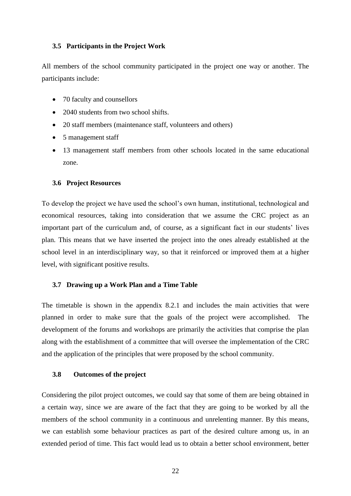#### **3.5 Participants in the Project Work**

All members of the school community participated in the project one way or another. The participants include:

- 70 faculty and counsellors
- 2040 students from two school shifts.
- 20 staff members (maintenance staff, volunteers and others)
- 5 management staff
- 13 management staff members from other schools located in the same educational zone.

#### **3.6 Project Resources**

To develop the project we have used the school's own human, institutional, technological and economical resources, taking into consideration that we assume the CRC project as an important part of the curriculum and, of course, as a significant fact in our students' lives plan. This means that we have inserted the project into the ones already established at the school level in an interdisciplinary way, so that it reinforced or improved them at a higher level, with significant positive results.

#### **3.7 Drawing up a Work Plan and a Time Table**

The timetable is shown in the appendix 8.2.1 and includes the main activities that were planned in order to make sure that the goals of the project were accomplished. The development of the forums and workshops are primarily the activities that comprise the plan along with the establishment of a committee that will oversee the implementation of the CRC and the application of the principles that were proposed by the school community.

#### **3.8 Outcomes of the project**

Considering the pilot project outcomes, we could say that some of them are being obtained in a certain way, since we are aware of the fact that they are going to be worked by all the members of the school community in a continuous and unrelenting manner. By this means, we can establish some behaviour practices as part of the desired culture among us, in an extended period of time. This fact would lead us to obtain a better school environment, better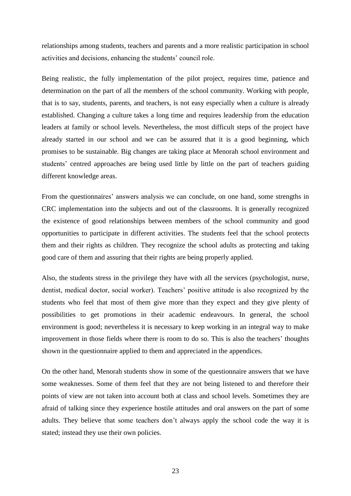relationships among students, teachers and parents and a more realistic participation in school activities and decisions, enhancing the students' council role.

Being realistic, the fully implementation of the pilot project, requires time, patience and determination on the part of all the members of the school community. Working with people, that is to say, students, parents, and teachers, is not easy especially when a culture is already established. Changing a culture takes a long time and requires leadership from the education leaders at family or school levels. Nevertheless, the most difficult steps of the project have already started in our school and we can be assured that it is a good beginning, which promises to be sustainable. Big changes are taking place at Menorah school environment and students' centred approaches are being used little by little on the part of teachers guiding different knowledge areas.

From the questionnaires' answers analysis we can conclude, on one hand, some strengths in CRC implementation into the subjects and out of the classrooms. It is generally recognized the existence of good relationships between members of the school community and good opportunities to participate in different activities. The students feel that the school protects them and their rights as children. They recognize the school adults as protecting and taking good care of them and assuring that their rights are being properly applied.

Also, the students stress in the privilege they have with all the services (psychologist, nurse, dentist, medical doctor, social worker). Teachers' positive attitude is also recognized by the students who feel that most of them give more than they expect and they give plenty of possibilities to get promotions in their academic endeavours. In general, the school environment is good; nevertheless it is necessary to keep working in an integral way to make improvement in those fields where there is room to do so. This is also the teachers' thoughts shown in the questionnaire applied to them and appreciated in the appendices.

On the other hand, Menorah students show in some of the questionnaire answers that we have some weaknesses. Some of them feel that they are not being listened to and therefore their points of view are not taken into account both at class and school levels. Sometimes they are afraid of talking since they experience hostile attitudes and oral answers on the part of some adults. They believe that some teachers don't always apply the school code the way it is stated; instead they use their own policies.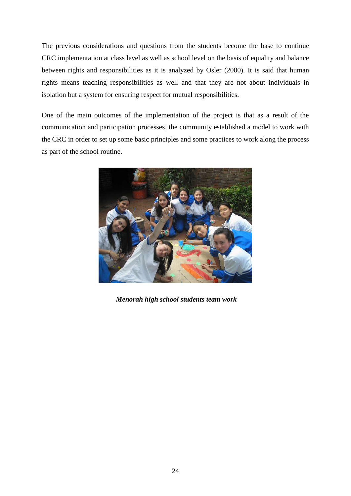The previous considerations and questions from the students become the base to continue CRC implementation at class level as well as school level on the basis of equality and balance between rights and responsibilities as it is analyzed by Osler (2000). It is said that human rights means teaching responsibilities as well and that they are not about individuals in isolation but a system for ensuring respect for mutual responsibilities.

One of the main outcomes of the implementation of the project is that as a result of the communication and participation processes, the community established a model to work with the CRC in order to set up some basic principles and some practices to work along the process as part of the school routine.



*Menorah high school students team work*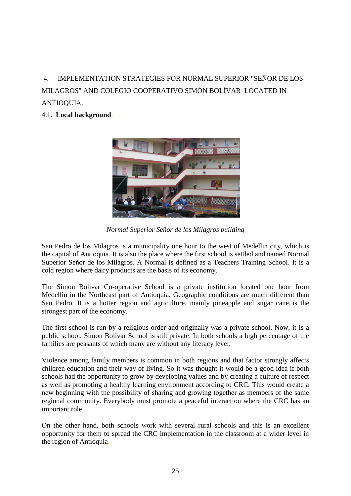4. IMPLEMENTATION STRATEGIES FOR NORMAL SUPERIOR "SEÑOR DE LOS MILAGROS" AND COLEGIO COOPERATIVO SIMÓN BOLÍVAR LOCATED IN ANTIOQUIA.

# 4.1. **Local background**.



*Normal Superior Señor de los Milagros building*

San Pedro de los Milagros is a municipality one hour to the west of Medellin city, which is the capital of Antioquia. It is also the place where the first school is settled and named Normal Superior Señor de los Milagros. A Normal is defined as a Teachers Training School. It is a cold region where dairy products are the basis of its economy.

The Simon Bolivar Co-operative School is a private institution located one hour from Medellin in the Northeast part of Antioquia. Geographic conditions are much different than San Pedro. It is a hotter region and agriculture, mainly pineapple and sugar cane, is the strongest part of the economy.

The first school is run by a religious order and originally was a private school. Now, it is a public school. Simon Bolivar School is still private. In both schools a high percentage of the families are peasants of which many are without any literacy level.

Violence among family members is common in both regions and that factor strongly affects children education and their way of living. So it was thought it would be a good idea if both schools had the opportunity to grow by developing values and by creating a culture of respect as well as promoting a healthy learning environment according to CRC. This would create a new beginning with the possibility of sharing and growing together as members of the same regional community. Everybody must promote a peaceful interaction where the CRC has an important role.

On the other hand, both schools work with several rural schools and this is an excellent opportunity for them to spread the CRC implementation in the classroom at a wider level in the region of Antioquia.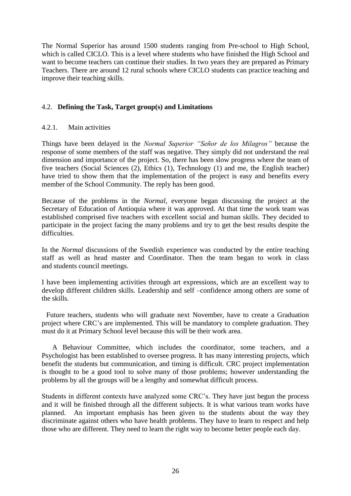The Normal Superior has around 1500 students ranging from Pre-school to High School, which is called CICLO. This is a level where students who have finished the High School and want to become teachers can continue their studies. In two years they are prepared as Primary Teachers. There are around 12 rural schools where CICLO students can practice teaching and improve their teaching skills.

# 4.2. **Defining the Task, Target group(s) and Limitations**

### 4.2.1. Main activities

Things have been delayed in the *Normal Superior "Señor de los Milagros"* because the response of some members of the staff was negative. They simply did not understand the real dimension and importance of the project. So, there has been slow progress where the team of five teachers (Social Sciences (2), Ethics (1), Technology (1) and me, the English teacher) have tried to show them that the implementation of the project is easy and benefits every member of the School Community. The reply has been good.

Because of the problems in the *Normal*, everyone began discussing the project at the Secretary of Education of Antioquia where it was approved. At that time the work team was established comprised five teachers with excellent social and human skills. They decided to participate in the project facing the many problems and try to get the best results despite the difficulties.

In the *Normal* discussions of the Swedish experience was conducted by the entire teaching staff as well as head master and Coordinator. Then the team began to work in class and students council meetings.

I have been implementing activities through art expressions, which are an excellent way to develop different children skills. Leadership and self –confidence among others are some of the skills.

Future teachers, students who will graduate next November, have to create a Graduation project where CRC's are implemented. This will be mandatory to complete graduation. They must do it at Primary School level because this will be their work area.

 A Behaviour Committee, which includes the coordinator, some teachers, and a Psychologist has been established to oversee progress. It has many interesting projects, which benefit the students but communication, and timing is difficult. CRC project implementation is thought to be a good tool to solve many of those problems; however understanding the problems by all the groups will be a lengthy and somewhat difficult process.

Students in different contexts have analyzed some CRC's. They have just begun the process and it will be finished through all the different subjects. It is what various team works have planned. An important emphasis has been given to the students about the way they discriminate against others who have health problems. They have to learn to respect and help those who are different. They need to learn the right way to become better people each day.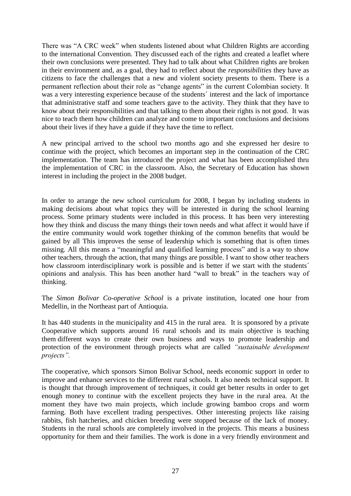There was "A CRC week" when students listened about what Children Rights are according to the international Convention. They discussed each of the rights and created a leaflet where their own conclusions were presented. They had to talk about what Children rights are broken in their environment and, as a goal, they had to reflect about the *responsibilities* they have as citizens to face the challenges that a new and violent society presents to them. There is a permanent reflection about their role as "change agents" in the current Colombian society. It was a very interesting experience because of the students' interest and the lack of importance that administrative staff and some teachers gave to the activity. They think that they have to know about their responsibilities and that talking to them about their rights is not good. It was nice to teach them how children can analyze and come to important conclusions and decisions about their lives if they have a guide if they have the time to reflect.

A new principal arrived to the school two months ago and she expressed her desire to continue with the project, which becomes an important step in the continuation of the CRC implementation. The team has introduced the project and what has been accomplished thru the implementation of CRC in the classroom. Also, the Secretary of Education has shown interest in including the project in the 2008 budget.

In order to arrange the new school curriculum for 2008, I began by including students in making decisions about what topics they will be interested in during the school learning process. Some primary students were included in this process. It has been very interesting how they think and discuss the many things their town needs and what affect it would have if the entire community would work together thinking of the common benefits that would be gained by all This improves the sense of leadership which is something that is often times missing. All this means a "meaningful and qualified learning process" and is a way to show other teachers, through the action, that many things are possible. I want to show other teachers how classroom interdisciplinary work is possible and is better if we start with the students<sup>\*</sup> opinions and analysis. This has been another hard "wall to break" in the teachers way of thinking.

The *Simon Bolivar Co-operative School* is a private institution, located one hour from Medellin, in the Northeast part of Antioquia.

It has 440 students in the municipality and 415 in the rural area. It is sponsored by a private Cooperative which supports around 16 rural schools and its main objective is teaching them different ways to create their own business and ways to promote leadership and protection of the environment through projects what are called *"sustainable development projects".*

The cooperative, which sponsors Simon Bolivar School, needs economic support in order to improve and enhance services to the different rural schools. It also needs technical support. It is thought that through improvement of techniques, it could get better results in order to get enough money to continue with the excellent projects they have in the rural area. At the moment they have two main projects, which include growing bamboo crops and worm farming. Both have excellent trading perspectives. Other interesting projects like raising rabbits, fish hatcheries, and chicken breeding were stopped because of the lack of money. Students in the rural schools are completely involved in the projects. This means a business opportunity for them and their families. The work is done in a very friendly environment and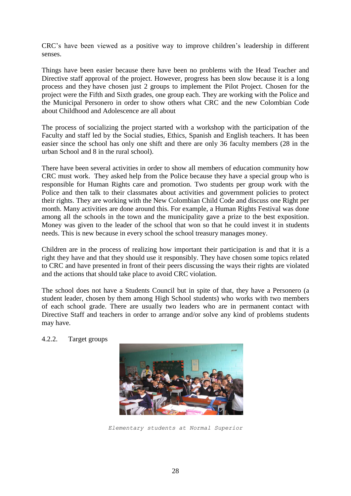CRC's have been viewed as a positive way to improve children's leadership in different senses.

Things have been easier because there have been no problems with the Head Teacher and Directive staff approval of the project. However, progress has been slow because it is a long process and they have chosen just 2 groups to implement the Pilot Project. Chosen for the project were the Fifth and Sixth grades, one group each. They are working with the Police and the Municipal Personero in order to show others what CRC and the new Colombian Code about Childhood and Adolescence are all about

The process of socializing the project started with a workshop with the participation of the Faculty and staff led by the Social studies, Ethics, Spanish and English teachers. It has been easier since the school has only one shift and there are only 36 faculty members (28 in the urban School and 8 in the rural school).

There have been several activities in order to show all members of education community how CRC must work. They asked help from the Police because they have a special group who is responsible for Human Rights care and promotion. Two students per group work with the Police and then talk to their classmates about activities and government policies to protect their rights. They are working with the New Colombian Child Code and discuss one Right per month. Many activities are done around this. For example, a Human Rights Festival was done among all the schools in the town and the municipality gave a prize to the best exposition. Money was given to the leader of the school that won so that he could invest it in students needs. This is new because in every school the school treasury manages money.

Children are in the process of realizing how important their participation is and that it is a right they have and that they should use it responsibly. They have chosen some topics related to CRC and have presented in front of their peers discussing the ways their rights are violated and the actions that should take place to avoid CRC violation.

The school does not have a Students Council but in spite of that, they have a Personero (a student leader, chosen by them among High School students) who works with two members of each school grade. There are usually two leaders who are in permanent contact with Directive Staff and teachers in order to arrange and/or solve any kind of problems students may have.

4.2.2. Target groups



*Elementary students at Normal Superior*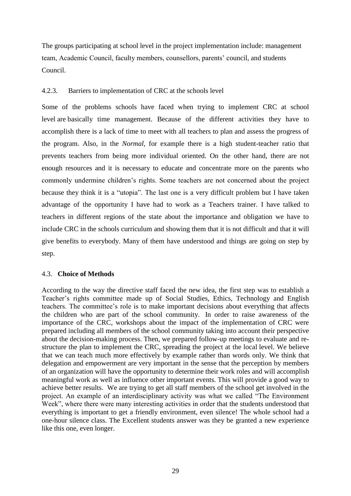The groups participating at school level in the project implementation include: management team, Academic Council, faculty members, counsellors, parents' council, and students Council.

### 4.2.3. Barriers to implementation of CRC at the schools level

Some of the problems schools have faced when trying to implement CRC at school level are basically time management. Because of the different activities they have to accomplish there is a lack of time to meet with all teachers to plan and assess the progress of the program. Also, in the *Normal,* for example there is a high student-teacher ratio that prevents teachers from being more individual oriented. On the other hand, there are not enough resources and it is necessary to educate and concentrate more on the parents who commonly undermine children's rights. Some teachers are not concerned about the project because they think it is a "utopia". The last one is a very difficult problem but I have taken advantage of the opportunity I have had to work as a Teachers trainer. I have talked to teachers in different regions of the state about the importance and obligation we have to include CRC in the schools curriculum and showing them that it is not difficult and that it will give benefits to everybody. Many of them have understood and things are going on step by step.

### 4.3. **Choice of Methods**

According to the way the directive staff faced the new idea, the first step was to establish a Teacher's rights committee made up of Social Studies, Ethics, Technology and English teachers. The committee's role is to make important decisions about everything that affects the children who are part of the school community. In order to raise awareness of the importance of the CRC, workshops about the impact of the implementation of CRC were prepared including all members of the school community taking into account their perspective about the decision-making process. Then, we prepared follow-up meetings to evaluate and restructure the plan to implement the CRC, spreading the project at the local level. We believe that we can teach much more effectively by example rather than words only. We think that delegation and empowerment are very important in the sense that the perception by members of an organization will have the opportunity to determine their work roles and will accomplish meaningful work as well as influence other important events. This will provide a good way to achieve better results. We are trying to get all staff members of the school get involved in the project. An example of an interdisciplinary activity was what we called "The Environment Week", where there were many interesting activities in order that the students understood that everything is important to get a friendly environment, even silence! The whole school had a one-hour silence class. The Excellent students answer was they be granted a new experience like this one, even longer.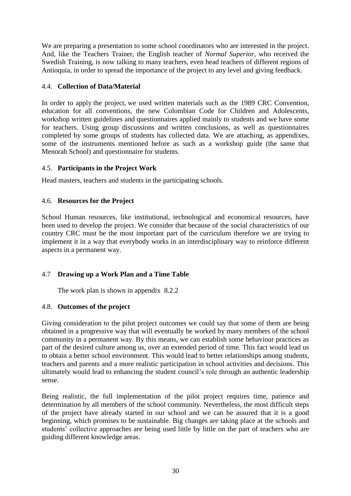We are preparing a presentation to some school coordinators who are interested in the project. And, like the Teachers Trainer, the English teacher of *Normal Superior,* who received the Swedish Training, is now talking to many teachers, even head teachers of different regions of Antioquia, in order to spread the importance of the project to any level and giving feedback.

## 4.4. **Collection of Data/Material**

In order to apply the project, we used written materials such as the 1989 CRC Convention, education for all conventions, the new Colombian Code for Children and Adolescents, workshop written guidelines and questionnaires applied mainly to students and we have some for teachers. Using group discussions and written conclusions, as well as questionnaires completed by some groups of students has collected data. We are attaching, as appendixes, some of the instruments mentioned before as such as a workshop guide (the same that Menorah School) and questionnaire for students.

# 4.5. **Participants in the Project Work**

Head masters, teachers and students in the participating schools.

# 4.6. **Resources for the Project**

School Human resources, like institutional, technological and economical resources, have been used to develop the project. We consider that because of the social characteristics of our country CRC must be the most important part of the curriculum therefore we are trying to implement it in a way that everybody works in an interdisciplinary way to reinforce different aspects in a permanent way.

# 4.7 **Drawing up a Work Plan and a Time Table**

The work plan is shown in appendix 8.2.2

# 4.8. **Outcomes of the project**

Giving consideration to the pilot project outcomes we could say that some of them are being obtained in a progressive way that will eventually be worked by many members of the school community in a permanent way. By this means, we can establish some behaviour practices as part of the desired culture among us, over an extended period of time. This fact would lead us to obtain a better school environment. This would lead to better relationships among students, teachers and parents and a more realistic participation in school activities and decisions. This ultimately would lead to enhancing the student council's role through an authentic leadership sense.

Being realistic, the full implementation of the pilot project requires time, patience and determination by all members of the school community. Nevertheless, the most difficult steps of the project have already started in our school and we can be assured that it is a good beginning, which promises to be sustainable. Big changes are taking place at the schools and students' collective approaches are being used little by little on the part of teachers who are guiding different knowledge areas.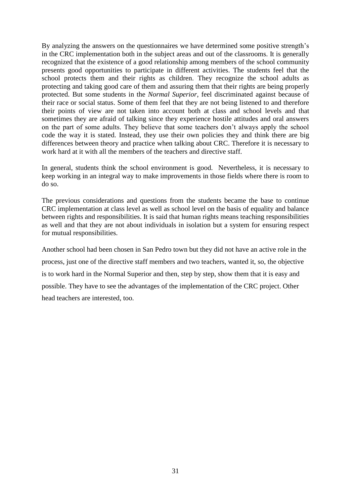By analyzing the answers on the questionnaires we have determined some positive strength's in the CRC implementation both in the subject areas and out of the classrooms. It is generally recognized that the existence of a good relationship among members of the school community presents good opportunities to participate in different activities. The students feel that the school protects them and their rights as children. They recognize the school adults as protecting and taking good care of them and assuring them that their rights are being properly protected. But some students in the *Normal Superior*, feel discriminated against because of their race or social status. Some of them feel that they are not being listened to and therefore their points of view are not taken into account both at class and school levels and that sometimes they are afraid of talking since they experience hostile attitudes and oral answers on the part of some adults. They believe that some teachers don't always apply the school code the way it is stated. Instead, they use their own policies they and think there are big differences between theory and practice when talking about CRC. Therefore it is necessary to work hard at it with all the members of the teachers and directive staff.

In general, students think the school environment is good. Nevertheless, it is necessary to keep working in an integral way to make improvements in those fields where there is room to do so.

The previous considerations and questions from the students became the base to continue CRC implementation at class level as well as school level on the basis of equality and balance between rights and responsibilities. It is said that human rights means teaching responsibilities as well and that they are not about individuals in isolation but a system for ensuring respect for mutual responsibilities.

Another school had been chosen in San Pedro town but they did not have an active role in the process, just one of the directive staff members and two teachers, wanted it, so, the objective is to work hard in the Normal Superior and then, step by step, show them that it is easy and possible. They have to see the advantages of the implementation of the CRC project. Other head teachers are interested, too.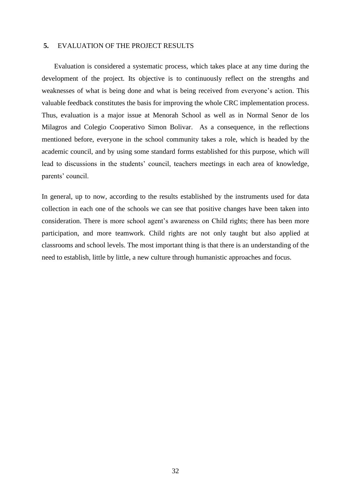### **5.** EVALUATION OF THE PROJECT RESULTS

Evaluation is considered a systematic process, which takes place at any time during the development of the project. Its objective is to continuously reflect on the strengths and weaknesses of what is being done and what is being received from everyone's action. This valuable feedback constitutes the basis for improving the whole CRC implementation process. Thus, evaluation is a major issue at Menorah School as well as in Normal Senor de los Milagros and Colegio Cooperativo Simon Bolivar. As a consequence, in the reflections mentioned before, everyone in the school community takes a role, which is headed by the academic council, and by using some standard forms established for this purpose, which will lead to discussions in the students' council, teachers meetings in each area of knowledge, parents' council.

In general, up to now, according to the results established by the instruments used for data collection in each one of the schools we can see that positive changes have been taken into consideration. There is more school agent's awareness on Child rights; there has been more participation, and more teamwork. Child rights are not only taught but also applied at classrooms and school levels. The most important thing is that there is an understanding of the need to establish, little by little, a new culture through humanistic approaches and focus.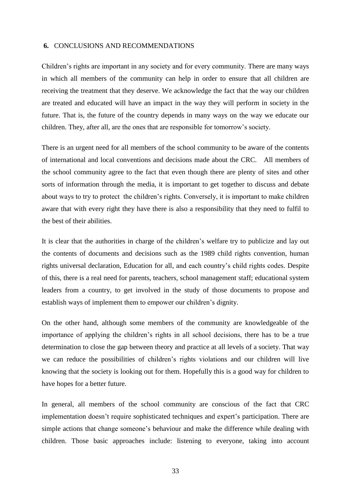#### **6.** CONCLUSIONS AND RECOMMENDATIONS

Children's rights are important in any society and for every community. There are many ways in which all members of the community can help in order to ensure that all children are receiving the treatment that they deserve. We acknowledge the fact that the way our children are treated and educated will have an impact in the way they will perform in society in the future. That is, the future of the country depends in many ways on the way we educate our children. They, after all, are the ones that are responsible for tomorrow's society.

There is an urgent need for all members of the school community to be aware of the contents of international and local conventions and decisions made about the CRC. All members of the school community agree to the fact that even though there are plenty of sites and other sorts of information through the media, it is important to get together to discuss and debate about ways to try to protect the children's rights. Conversely, it is important to make children aware that with every right they have there is also a responsibility that they need to fulfil to the best of their abilities.

It is clear that the authorities in charge of the children's welfare try to publicize and lay out the contents of documents and decisions such as the 1989 child rights convention, human rights universal declaration, Education for all, and each country's child rights codes. Despite of this, there is a real need for parents, teachers, school management staff; educational system leaders from a country, to get involved in the study of those documents to propose and establish ways of implement them to empower our children's dignity.

On the other hand, although some members of the community are knowledgeable of the importance of applying the children's rights in all school decisions, there has to be a true determination to close the gap between theory and practice at all levels of a society. That way we can reduce the possibilities of children's rights violations and our children will live knowing that the society is looking out for them. Hopefully this is a good way for children to have hopes for a better future.

In general, all members of the school community are conscious of the fact that CRC implementation doesn't require sophisticated techniques and expert's participation. There are simple actions that change someone's behaviour and make the difference while dealing with children. Those basic approaches include: listening to everyone, taking into account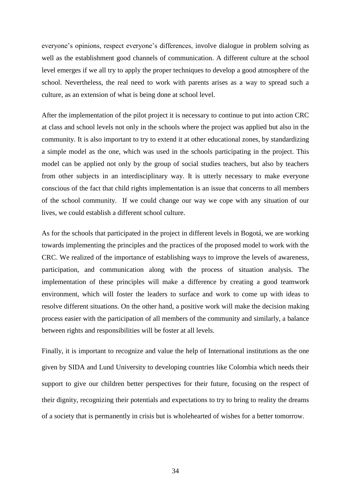everyone's opinions, respect everyone's differences, involve dialogue in problem solving as well as the establishment good channels of communication. A different culture at the school level emerges if we all try to apply the proper techniques to develop a good atmosphere of the school. Nevertheless, the real need to work with parents arises as a way to spread such a culture, as an extension of what is being done at school level.

After the implementation of the pilot project it is necessary to continue to put into action CRC at class and school levels not only in the schools where the project was applied but also in the community. It is also important to try to extend it at other educational zones, by standardizing a simple model as the one, which was used in the schools participating in the project. This model can be applied not only by the group of social studies teachers, but also by teachers from other subjects in an interdisciplinary way. It is utterly necessary to make everyone conscious of the fact that child rights implementation is an issue that concerns to all members of the school community. If we could change our way we cope with any situation of our lives, we could establish a different school culture.

As for the schools that participated in the project in different levels in Bogotá, we are working towards implementing the principles and the practices of the proposed model to work with the CRC. We realized of the importance of establishing ways to improve the levels of awareness, participation, and communication along with the process of situation analysis. The implementation of these principles will make a difference by creating a good teamwork environment, which will foster the leaders to surface and work to come up with ideas to resolve different situations. On the other hand, a positive work will make the decision making process easier with the participation of all members of the community and similarly, a balance between rights and responsibilities will be foster at all levels.

Finally, it is important to recognize and value the help of International institutions as the one given by SIDA and Lund University to developing countries like Colombia which needs their support to give our children better perspectives for their future, focusing on the respect of their dignity, recognizing their potentials and expectations to try to bring to reality the dreams of a society that is permanently in crisis but is wholehearted of wishes for a better tomorrow.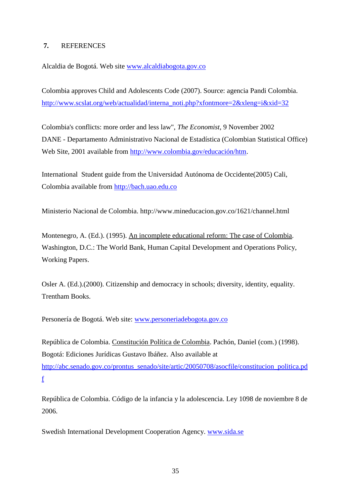# **7.** REFERENCES

Alcaldia de Bogotá. Web site [www.alcaldiabogota.gov.co](http://www.alcaldiabogota.gov.co/)

Colombia approves Child and Adolescents Code (2007). Source: agencia Pandi Colombia. [http://www.scslat.org/web/actualidad/interna\\_noti.php?xfontmore=2&xleng=i&xid=32](http://www.scslat.org/web/actualidad/interna_noti.php?xfontmore=2&xleng=i&xid=32)

Colombia's conflicts: more order and less law", *The Economist*, 9 November 2002 DANE - Departamento Administrativo Nacional de Estadística (Colombian Statistical Office) Web Site, 2001 available from [http://www.colombia.gov/educación/htm.](http://www.colombia.gov/educación/htm)

International Student guide from the Universidad Autónoma de Occidente(2005) Cali, Colombia available from [http://bach.uao.edu.co](http://bach.uao.edu.co/)

Ministerio Nacional de Colombia. http://www.mineducacion.gov.co/1621/channel.html

Montenegro, A. (Ed.). (1995). An incomplete educational reform: The case of Colombia. Washington, D.C.: The World Bank, Human Capital Development and Operations Policy, Working Papers.

Osler A. (Ed.).(2000). Citizenship and democracy in schools; diversity, identity, equality. Trentham Books.

Personería de Bogotá. Web site: [www.personeriadebogota.gov.co](http://www.personeriadebogota.gov.co/) 

República de Colombia. Constitución Política de Colombia. Pachón, Daniel (com.) (1998). Bogotá: Ediciones Jurídicas Gustavo Ibáñez. Also available at [http://abc.senado.gov.co/prontus\\_senado/site/artic/20050708/asocfile/constitucion\\_politica.pd](http://abc.senado.gov.co/prontus_senado/site/artic/20050708/asocfile/constitucion_politica.pdf) [f](http://abc.senado.gov.co/prontus_senado/site/artic/20050708/asocfile/constitucion_politica.pdf)

República de Colombia. Código de la infancia y la adolescencia. Ley 1098 de noviembre 8 de 2006.

Swedish International Development Cooperation Agency. [www.sida.se](http://www.sida.se/)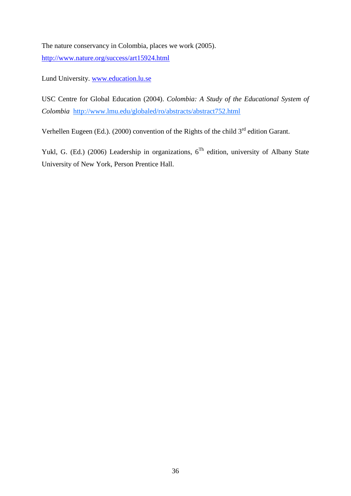The nature conservancy in Colombia, places we work (2005). <http://www.nature.org/success/art15924.html>

Lund University. [www.education.lu.se](http://www.education.lu.se/)

USC Centre for Global Education (2004). *Colombia: A Study of the Educational System of Colombia* <http://www.lmu.edu/globaled/ro/abstracts/abstract752.html>

Verhellen Eugeen (Ed.). (2000) convention of the Rights of the child  $3<sup>rd</sup>$  edition Garant.

Yukl, G. (Ed.) (2006) Leadership in organizations,  $6^{Th}$  edition, university of Albany State University of New York, Person Prentice Hall.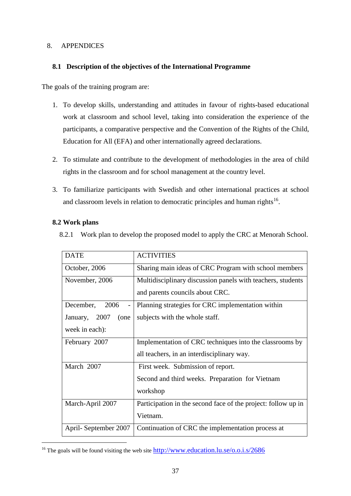### 8. APPENDICES

## **8.1 Description of the objectives of the International Programme**

The goals of the training program are:

- 1. To develop skills, understanding and attitudes in favour of rights-based educational work at classroom and school level, taking into consideration the experience of the participants, a comparative perspective and the Convention of the Rights of the Child, Education for All (EFA) and other internationally agreed declarations.
- 2. To stimulate and contribute to the development of methodologies in the area of child rights in the classroom and for school management at the country level.
- 3. To familiarize participants with Swedish and other international practices at school and classroom levels in relation to democratic principles and human rights<sup>16</sup>.

### **8.2 Work plans**

1

8.2.1 Work plan to develop the proposed model to apply the CRC at Menorah School.

| <b>DATE</b>                         | <b>ACTIVITIES</b>                                             |  |  |
|-------------------------------------|---------------------------------------------------------------|--|--|
| October, 2006                       | Sharing main ideas of CRC Program with school members         |  |  |
| November, 2006                      | Multidisciplinary discussion panels with teachers, students   |  |  |
|                                     | and parents councils about CRC.                               |  |  |
| December,<br>2006<br>$\overline{a}$ | Planning strategies for CRC implementation within             |  |  |
| January, 2007<br>(one               | subjects with the whole staff.                                |  |  |
| week in each):                      |                                                               |  |  |
| February 2007                       | Implementation of CRC techniques into the classrooms by       |  |  |
|                                     | all teachers, in an interdisciplinary way.                    |  |  |
| March 2007                          | First week. Submission of report.                             |  |  |
|                                     | Second and third weeks. Preparation for Vietnam               |  |  |
|                                     | workshop                                                      |  |  |
| March-April 2007                    | Participation in the second face of the project: follow up in |  |  |
|                                     | Vietnam.                                                      |  |  |
| April-September 2007                | Continuation of CRC the implementation process at             |  |  |

<sup>&</sup>lt;sup>16</sup> The goals will be found visiting the web site  $\frac{http://www.education.lu.se/o.o.i.s/2686}{http://www.education.lu.se/o.o.i.s/2686}$  $\frac{http://www.education.lu.se/o.o.i.s/2686}{http://www.education.lu.se/o.o.i.s/2686}$  $\frac{http://www.education.lu.se/o.o.i.s/2686}{http://www.education.lu.se/o.o.i.s/2686}$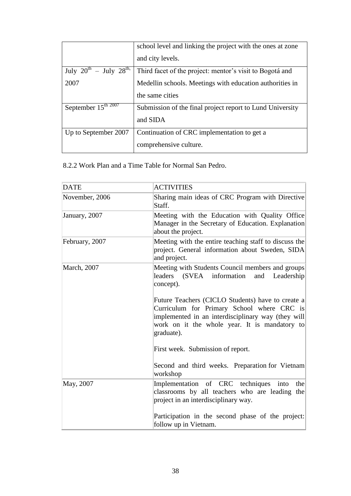|                                 | school level and linking the project with the ones at zone |
|---------------------------------|------------------------------------------------------------|
|                                 | and city levels.                                           |
| July $20^{th}$ – July $28^{th}$ | Third facet of the project: mentor's visit to Bogotá and   |
| 2007                            | Medellin schools. Meetings with education authorities in   |
|                                 | the same cities                                            |
| September $15^{\text{th }2007}$ | Submission of the final project report to Lund University  |
|                                 | and SIDA                                                   |
| Up to September 2007            | Continuation of CRC implementation to get a                |
|                                 | comprehensive culture.                                     |

8.2.2 Work Plan and a Time Table for Normal San Pedro.

| <b>DATE</b>    | <b>ACTIVITIES</b>                                                                                                                                                                                                    |
|----------------|----------------------------------------------------------------------------------------------------------------------------------------------------------------------------------------------------------------------|
| November, 2006 | Sharing main ideas of CRC Program with Directive<br>Staff.                                                                                                                                                           |
| January, 2007  | Meeting with the Education with Quality Office<br>Manager in the Secretary of Education. Explanation<br>about the project.                                                                                           |
| February, 2007 | Meeting with the entire teaching staff to discuss the<br>project. General information about Sweden, SIDA<br>and project.                                                                                             |
| March, 2007    | Meeting with Students Council members and groups<br>leaders<br>(SVEA)<br>information<br>and<br>Leadership<br>concept).                                                                                               |
|                | Future Teachers (CICLO Students) have to create a<br>Curriculum for Primary School where CRC is<br>implemented in an interdisciplinary way (they will<br>work on it the whole year. It is mandatory to<br>graduate). |
|                | First week. Submission of report.                                                                                                                                                                                    |
|                | Second and third weeks. Preparation for Vietnam<br>workshop                                                                                                                                                          |
| May, 2007      | Implementation of CRC techniques<br>the<br>into<br>classrooms by all teachers who are leading the<br>project in an interdisciplinary way.                                                                            |
|                | Participation in the second phase of the project:<br>follow up in Vietnam.                                                                                                                                           |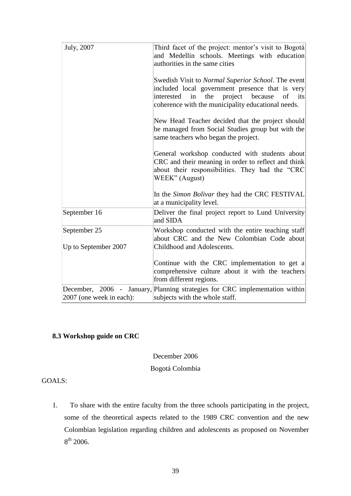| July, 2007               | Third facet of the project: mentor's visit to Bogotá<br>and Medellin schools. Meetings with education<br>authorities in the same cities                                                                             |
|--------------------------|---------------------------------------------------------------------------------------------------------------------------------------------------------------------------------------------------------------------|
|                          | Swedish Visit to Normal Superior School. The event<br>included local government presence that is very<br>project because<br>the<br>of its<br>interested<br>in<br>coherence with the municipality educational needs. |
|                          | New Head Teacher decided that the project should<br>be managed from Social Studies group but with the<br>same teachers who began the project.                                                                       |
|                          | General workshop conducted with students about<br>CRC and their meaning in order to reflect and think<br>about their responsibilities. They had the "CRC<br>WEEK" (August)                                          |
|                          | In the Simon Bolivar they had the CRC FESTIVAL<br>at a municipality level.                                                                                                                                          |
| September 16             | Deliver the final project report to Lund University<br>and SIDA                                                                                                                                                     |
| September 25             | Workshop conducted with the entire teaching staff<br>about CRC and the New Colombian Code about                                                                                                                     |
| Up to September 2007     | Childhood and Adolescents.                                                                                                                                                                                          |
|                          | Continue with the CRC implementation to get a<br>comprehensive culture about it with the teachers<br>from different regions.                                                                                        |
| 2007 (one week in each): | December, 2006 - January, Planning strategies for CRC implementation within<br>subjects with the whole staff.                                                                                                       |

# **8.3 Workshop guide on CRC**

December 2006

Bogotá Colombia

GOALS:

1. To share with the entire faculty from the three schools participating in the project, some of the theoretical aspects related to the 1989 CRC convention and the new Colombian legislation regarding children and adolescents as proposed on November  $8^{th}$  2006.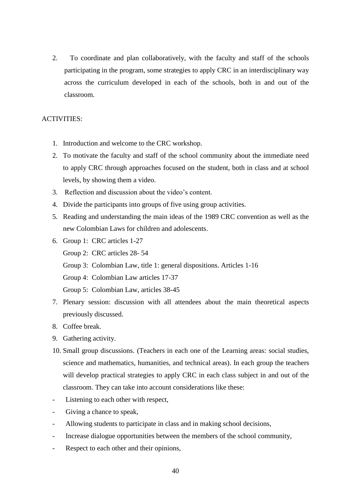2. To coordinate and plan collaboratively, with the faculty and staff of the schools participating in the program, some strategies to apply CRC in an interdisciplinary way across the curriculum developed in each of the schools, both in and out of the classroom.

### ACTIVITIES:

- 1. Introduction and welcome to the CRC workshop.
- 2. To motivate the faculty and staff of the school community about the immediate need to apply CRC through approaches focused on the student, both in class and at school levels, by showing them a video.
- 3. Reflection and discussion about the video's content.
- 4. Divide the participants into groups of five using group activities.
- 5. Reading and understanding the main ideas of the 1989 CRC convention as well as the new Colombian Laws for children and adolescents.
- 6. Group 1: CRC articles 1-27 Group 2: CRC articles 28- 54 Group 3: Colombian Law, title 1: general dispositions. Articles 1-16 Group 4: Colombian Law articles 17-37 Group 5: Colombian Law, articles 38-45
- 7. Plenary session: discussion with all attendees about the main theoretical aspects previously discussed.
- 8. Coffee break.
- 9. Gathering activity.
- 10. Small group discussions. (Teachers in each one of the Learning areas: social studies, science and mathematics, humanities, and technical areas). In each group the teachers will develop practical strategies to apply CRC in each class subject in and out of the classroom. They can take into account considerations like these:
- Listening to each other with respect,
- Giving a chance to speak,
- Allowing students to participate in class and in making school decisions,
- Increase dialogue opportunities between the members of the school community,
- Respect to each other and their opinions,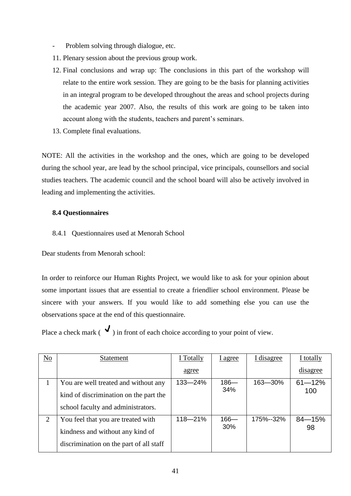- Problem solving through dialogue, etc.
- 11. Plenary session about the previous group work.
- 12. Final conclusions and wrap up: The conclusions in this part of the workshop will relate to the entire work session. They are going to be the basis for planning activities in an integral program to be developed throughout the areas and school projects during the academic year 2007. Also, the results of this work are going to be taken into account along with the students, teachers and parent's seminars.
- 13. Complete final evaluations.

NOTE: All the activities in the workshop and the ones, which are going to be developed during the school year, are lead by the school principal, vice principals, counsellors and social studies teachers. The academic council and the school board will also be actively involved in leading and implementing the activities.

## **8.4 Questionnaires**

8.4.1 Questionnaires used at Menorah School

Dear students from Menorah school:

In order to reinforce our Human Rights Project, we would like to ask for your opinion about some important issues that are essential to create a friendlier school environment. Please be sincere with your answers. If you would like to add something else you can use the observations space at the end of this questionnaire.

Place a check mark ( $\checkmark$ ) in front of each choice according to your point of view.

| N <sub>0</sub> | Statement                               | I Totally | I agree | <u>I disagree</u> | I totally  |
|----------------|-----------------------------------------|-----------|---------|-------------------|------------|
|                |                                         | agree     |         |                   | disagree   |
|                | You are well treated and without any    | 133-24%   | $186 -$ | 163-30%           | $61 - 12%$ |
|                | kind of discrimination on the part the  |           | 34%     |                   | 100        |
|                | school faculty and administrators.      |           |         |                   |            |
| $\overline{2}$ | You feel that you are treated with      | 118-21%   | $166 -$ | 175%--32%         | $84 - 15%$ |
|                | kindness and without any kind of        |           | 30%     |                   | 98         |
|                | discrimination on the part of all staff |           |         |                   |            |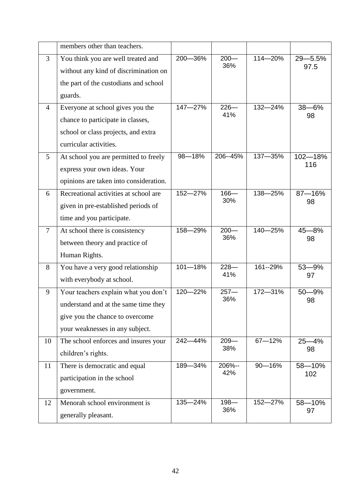|                | members other than teachers.           |         |                |             |            |
|----------------|----------------------------------------|---------|----------------|-------------|------------|
| 3              | You think you are well treated and     | 200-36% | $200 -$        | 114-20%     | 29-5.5%    |
|                | without any kind of discrimination on  |         | 36%            |             | 97.5       |
|                | the part of the custodians and school  |         |                |             |            |
|                | guards.                                |         |                |             |            |
| $\overline{4}$ | Everyone at school gives you the       | 147-27% | $226 -$        | 132-24%     | $38 - 6%$  |
|                | chance to participate in classes,      |         | 41%            |             | 98         |
|                | school or class projects, and extra    |         |                |             |            |
|                | curricular activities.                 |         |                |             |            |
| $\mathfrak{S}$ | At school you are permitted to freely  | 98-18%  | 206--45%       | 137-35%     | 102-18%    |
|                | express your own ideas. Your           |         |                |             | 116        |
|                | opinions are taken into consideration. |         |                |             |            |
| 6              | Recreational activities at school are  | 152-27% | $166 -$        | 138-25%     | $87 - 16%$ |
|                | given in pre-established periods of    |         | 30%            |             | 98         |
|                | time and you participate.              |         |                |             |            |
| $\overline{7}$ | At school there is consistency         | 158-29% | $200 -$<br>36% | 140-25%     | $45 - 8%$  |
|                | between theory and practice of         |         |                |             | 98         |
|                | Human Rights.                          |         |                |             |            |
| 8              | You have a very good relationship      | 101-18% | $228 -$<br>41% | 161--29%    | $53 - 9%$  |
|                | with everybody at school.              |         |                |             | 97         |
| 9              | Your teachers explain what you don't   | 120-22% | $257 -$        | 172-31%     | $50 - 9%$  |
|                | understand and at the same time they   |         | 36%            |             | 98         |
|                | give you the chance to overcome        |         |                |             |            |
|                | your weaknesses in any subject.        |         |                |             |            |
| 10             | The school enforces and insures your   | 242-44% | $209 -$        | $67 - 12%$  | $25 - 4%$  |
|                | children's rights.                     |         | 38%            |             | 98         |
| 11             | There is democratic and equal          | 189-34% | 206%--<br>42%  | $90 - 16\%$ | 58-10%     |
|                | participation in the school            |         |                |             | 102        |
|                | government.                            |         |                |             |            |
| 12             | Menorah school environment is          | 135-24% | $198 -$        | 152-27%     | 58-10%     |
|                | generally pleasant.                    |         | 36%            |             | 97         |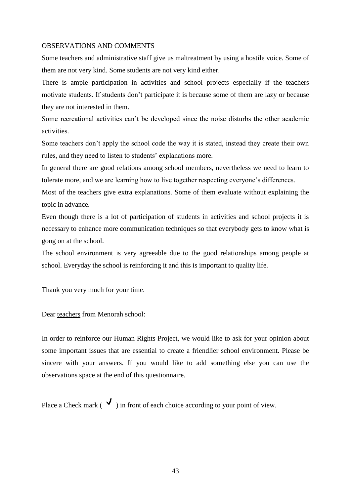#### OBSERVATIONS AND COMMENTS

Some teachers and administrative staff give us maltreatment by using a hostile voice. Some of them are not very kind. Some students are not very kind either.

There is ample participation in activities and school projects especially if the teachers motivate students. If students don't participate it is because some of them are lazy or because they are not interested in them.

Some recreational activities can't be developed since the noise disturbs the other academic activities.

Some teachers don't apply the school code the way it is stated, instead they create their own rules, and they need to listen to students' explanations more.

In general there are good relations among school members, nevertheless we need to learn to tolerate more, and we are learning how to live together respecting everyone's differences.

Most of the teachers give extra explanations. Some of them evaluate without explaining the topic in advance.

Even though there is a lot of participation of students in activities and school projects it is necessary to enhance more communication techniques so that everybody gets to know what is gong on at the school.

The school environment is very agreeable due to the good relationships among people at school. Everyday the school is reinforcing it and this is important to quality life.

Thank you very much for your time.

Dear teachers from Menorah school:

In order to reinforce our Human Rights Project, we would like to ask for your opinion about some important issues that are essential to create a friendlier school environment. Please be sincere with your answers. If you would like to add something else you can use the observations space at the end of this questionnaire.

Place a Check mark ( $\checkmark$ ) in front of each choice according to your point of view.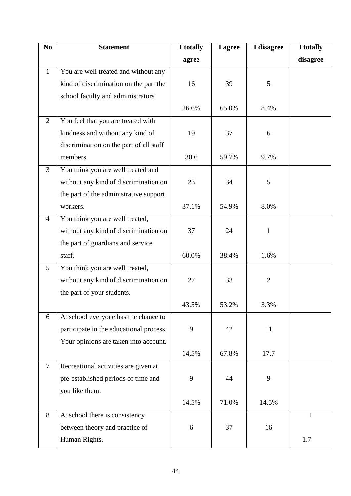| N <sub>0</sub> | <b>Statement</b>                        | I totally | I agree | I disagree     | I totally    |
|----------------|-----------------------------------------|-----------|---------|----------------|--------------|
|                |                                         | agree     |         |                | disagree     |
| $\mathbf{1}$   | You are well treated and without any    |           |         |                |              |
|                | kind of discrimination on the part the  | 16        | 39      | 5              |              |
|                | school faculty and administrators.      |           |         |                |              |
|                |                                         | 26.6%     | 65.0%   | 8.4%           |              |
| $\overline{2}$ | You feel that you are treated with      |           |         |                |              |
|                | kindness and without any kind of        | 19        | 37      | 6              |              |
|                | discrimination on the part of all staff |           |         |                |              |
|                | members.                                | 30.6      | 59.7%   | 9.7%           |              |
| 3              | You think you are well treated and      |           |         |                |              |
|                | without any kind of discrimination on   | 23        | 34      | 5              |              |
|                | the part of the administrative support  |           |         |                |              |
|                | workers.                                | 37.1%     | 54.9%   | 8.0%           |              |
| $\overline{4}$ | You think you are well treated,         |           |         |                |              |
|                | without any kind of discrimination on   | 37        | 24      | $\mathbf{1}$   |              |
|                | the part of guardians and service       |           |         |                |              |
|                | staff.                                  | 60.0%     | 38.4%   | 1.6%           |              |
| 5              | You think you are well treated,         |           |         |                |              |
|                | without any kind of discrimination on   | 27        | 33      | $\overline{2}$ |              |
|                | the part of your students.              |           |         |                |              |
|                |                                         | 43.5%     | 53.2%   | 3.3%           |              |
| 6              | At school everyone has the chance to    |           |         |                |              |
|                | participate in the educational process. | 9         | 42      | 11             |              |
|                | Your opinions are taken into account.   |           |         |                |              |
|                |                                         | 14,5%     | 67.8%   | 17.7           |              |
| $\tau$         | Recreational activities are given at    |           |         |                |              |
|                | pre-established periods of time and     | 9         | 44      | 9              |              |
|                | you like them.                          |           |         |                |              |
|                |                                         | 14.5%     | 71.0%   | 14.5%          |              |
| 8              | At school there is consistency          |           |         |                | $\mathbf{1}$ |
|                | between theory and practice of          | 6         | 37      | 16             |              |
|                | Human Rights.                           |           |         |                | 1.7          |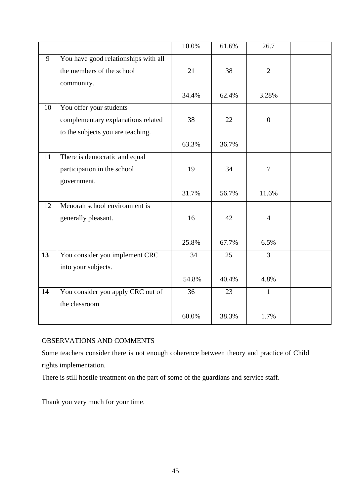|    |                                      | 10.0% | 61.6% | 26.7           |  |
|----|--------------------------------------|-------|-------|----------------|--|
| 9  | You have good relationships with all |       |       |                |  |
|    | the members of the school            | 21    | 38    | $\overline{2}$ |  |
|    | community.                           |       |       |                |  |
|    |                                      | 34.4% | 62.4% | 3.28%          |  |
| 10 | You offer your students              |       |       |                |  |
|    | complementary explanations related   | 38    | 22    | $\overline{0}$ |  |
|    | to the subjects you are teaching.    |       |       |                |  |
|    |                                      | 63.3% | 36.7% |                |  |
| 11 | There is democratic and equal        |       |       |                |  |
|    | participation in the school          | 19    | 34    | $\overline{7}$ |  |
|    | government.                          |       |       |                |  |
|    |                                      | 31.7% | 56.7% | 11.6%          |  |
| 12 | Menorah school environment is        |       |       |                |  |
|    | generally pleasant.                  | 16    | 42    | $\overline{4}$ |  |
|    |                                      |       |       |                |  |
|    |                                      | 25.8% | 67.7% | 6.5%           |  |
| 13 | You consider you implement CRC       | 34    | 25    | $\overline{3}$ |  |
|    | into your subjects.                  |       |       |                |  |
|    |                                      | 54.8% | 40.4% | 4.8%           |  |
| 14 | You consider you apply CRC out of    | 36    | 23    | $\mathbf{1}$   |  |
|    | the classroom                        |       |       |                |  |
|    |                                      | 60.0% | 38.3% | 1.7%           |  |

# OBSERVATIONS AND COMMENTS

Some teachers consider there is not enough coherence between theory and practice of Child rights implementation.

There is still hostile treatment on the part of some of the guardians and service staff.

Thank you very much for your time.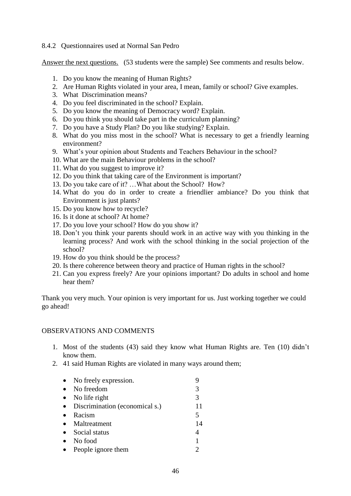### 8.4.2 Questionnaires used at Normal San Pedro

Answer the next questions. (53 students were the sample) See comments and results below.

- 1. Do you know the meaning of Human Rights?
- 2. Are Human Rights violated in your area, I mean, family or school? Give examples.
- 3. What Discrimination means?
- 4. Do you feel discriminated in the school? Explain.
- 5. Do you know the meaning of Democracy word? Explain.
- 6. Do you think you should take part in the curriculum planning?
- 7. Do you have a Study Plan? Do you like studying? Explain.
- 8. What do you miss most in the school? What is necessary to get a friendly learning environment?
- 9. What's your opinion about Students and Teachers Behaviour in the school?
- 10. What are the main Behaviour problems in the school?
- 11. What do you suggest to improve it?
- 12. Do you think that taking care of the Environment is important?
- 13. Do you take care of it? …What about the School? How?
- 14. What do you do in order to create a friendlier ambiance? Do you think that Environment is just plants?
- 15. Do you know how to recycle?
- 16. Is it done at school? At home?
- 17. Do you love your school? How do you show it?
- 18. Don't you think your parents should work in an active way with you thinking in the learning process? And work with the school thinking in the social projection of the school?
- 19. How do you think should be the process?
- 20. Is there coherence between theory and practice of Human rights in the school?
- 21. Can you express freely? Are your opinions important? Do adults in school and home hear them?

Thank you very much. Your opinion is very important for us. Just working together we could go ahead!

### OBSERVATIONS AND COMMENTS

- 1. Most of the students (43) said they know what Human Rights are. Ten (10) didn't know them.
- 2. 41 said Human Rights are violated in many ways around them;

| $\bullet$ | No freely expression.            |    |
|-----------|----------------------------------|----|
| $\bullet$ | No freedom                       |    |
|           | $\bullet$ No life right          | 3  |
|           | • Discrimination (economical s.) | 11 |
| $\bullet$ | Racism                           | 5  |
|           | • Maltreatment                   | 14 |
|           | • Social status                  | 4  |
| $\bullet$ | No food                          |    |
| $\bullet$ | People ignore them               |    |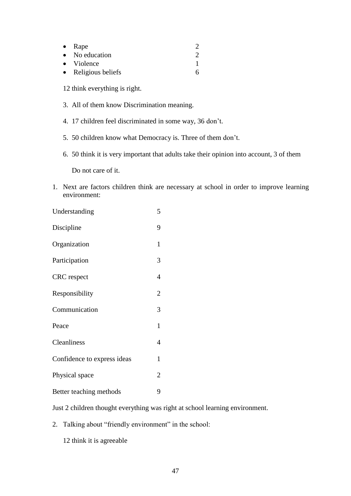| • Rape              |  |
|---------------------|--|
| • No education      |  |
| • Violence          |  |
| • Religious beliefs |  |

12 think everything is right.

- 3. All of them know Discrimination meaning.
- 4. 17 children feel discriminated in some way, 36 don't.
- 5. 50 children know what Democracy is. Three of them don't.
- 6. 50 think it is very important that adults take their opinion into account, 3 of them

Do not care of it.

1. Next are factors children think are necessary at school in order to improve learning environment:

| Understanding               | 5              |
|-----------------------------|----------------|
| Discipline                  | 9              |
| Organization                | $\mathbf{1}$   |
| Participation               | 3              |
| <b>CRC</b> respect          | 4              |
| Responsibility              | $\overline{2}$ |
| Communication               | 3              |
| Peace                       | $\mathbf{1}$   |
| Cleanliness                 | 4              |
| Confidence to express ideas | $\mathbf{1}$   |
| Physical space              | 2              |
| Better teaching methods     | 9              |

Just 2 children thought everything was right at school learning environment.

2. Talking about "friendly environment" in the school:

12 think it is agreeable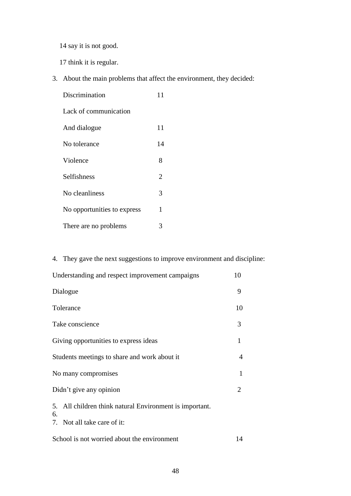14 say it is not good.

17 think it is regular.

3. About the main problems that affect the environment, they decided:

| Discrimination              |                |
|-----------------------------|----------------|
| Lack of communication       |                |
| And dialogue                | 11             |
| No tolerance                | 14             |
| Violence                    | 8              |
| <b>Selfishness</b>          | $\overline{2}$ |
| No cleanliness              | 3              |
| No opportunities to express | 1              |
| There are no problems       | 3              |

# 4. They gave the next suggestions to improve environment and discipline:

| Understanding and respect improvement campaigns                  |  |  |
|------------------------------------------------------------------|--|--|
| Dialogue                                                         |  |  |
| Tolerance                                                        |  |  |
| Take conscience                                                  |  |  |
| Giving opportunities to express ideas                            |  |  |
| Students meetings to share and work about it                     |  |  |
| No many compromises                                              |  |  |
| Didn't give any opinion                                          |  |  |
| All children think natural Environment is important.<br>5.<br>6. |  |  |
| 7. Not all take care of it:                                      |  |  |

| School is not worried about the environment |  |
|---------------------------------------------|--|
|---------------------------------------------|--|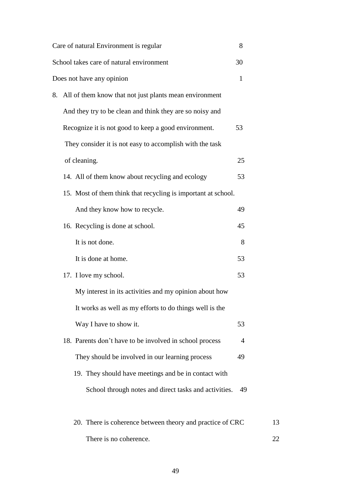|    | Care of natural Environment is regular                        | 8              |    |
|----|---------------------------------------------------------------|----------------|----|
|    | School takes care of natural environment                      | 30             |    |
|    | Does not have any opinion                                     | $\mathbf{1}$   |    |
| 8. | All of them know that not just plants mean environment        |                |    |
|    | And they try to be clean and think they are so noisy and      |                |    |
|    | Recognize it is not good to keep a good environment.          | 53             |    |
|    | They consider it is not easy to accomplish with the task      |                |    |
|    | of cleaning.                                                  | 25             |    |
|    | 14. All of them know about recycling and ecology              | 53             |    |
|    | 15. Most of them think that recycling is important at school. |                |    |
|    | And they know how to recycle.                                 | 49             |    |
|    | 16. Recycling is done at school.                              | 45             |    |
|    | It is not done.                                               | 8              |    |
|    | It is done at home.                                           | 53             |    |
|    | 17. I love my school.                                         | 53             |    |
|    | My interest in its activities and my opinion about how        |                |    |
|    | It works as well as my efforts to do things well is the       |                |    |
|    | Way I have to show it.                                        | 53             |    |
|    | 18. Parents don't have to be involved in school process       | $\overline{4}$ |    |
|    | They should be involved in our learning process               | 49             |    |
|    | 19. They should have meetings and be in contact with          |                |    |
|    | School through notes and direct tasks and activities.         | 49             |    |
|    | 20. There is coherence between theory and practice of CRC     |                | 13 |
|    | There is no coherence.                                        |                | 22 |